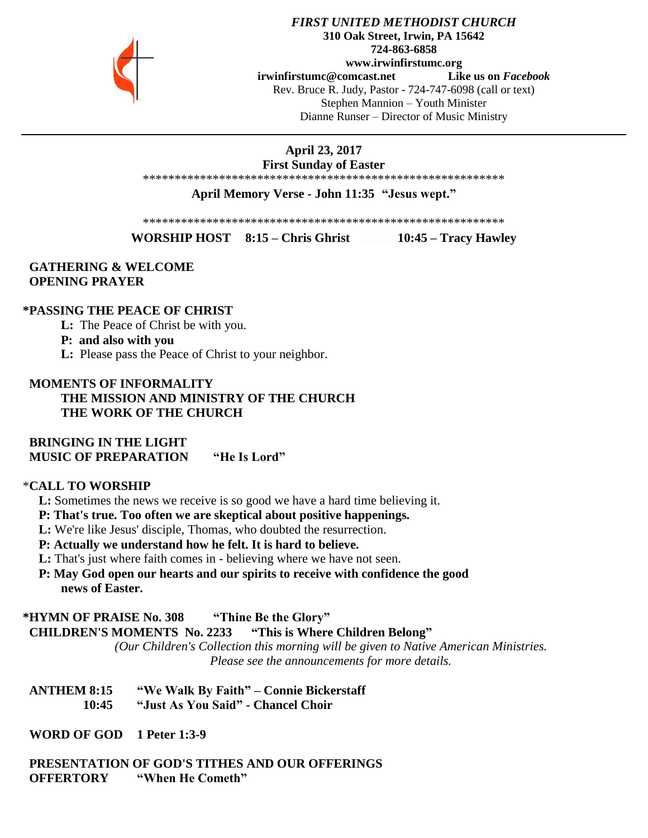

### *FIRST UNITED METHODIST CHURCH* **310 Oak Street, Irwin, PA 15642 724-863-6858 www.irwinfirstumc.org [irwinfirstumc@comcast.net](mailto:irwinfirstumc@comcast.net) Like us on** *Facebook* Rev. Bruce R. Judy, Pastor - 724-747-6098 (call or text) Stephen Mannion – Youth Minister Dianne Runser – Director of Music Ministry

**April 23, 2017**

**First Sunday of Easter** \*\*\*\*\*\*\*\*\*\*\*\*\*\*\*\*\*\*\*\*\*\*\*\*\*\*\*\*\*\*\*\*\*\*\*\*\*\*\*\*\*\*\*\*\*\*\*\*\*\*\*\*\*\*\*\*\*

**April Memory Verse - John 11:35 "Jesus wept."**

\*\*\*\*\*\*\*\*\*\*\*\*\*\*\*\*\*\*\*\*\*\*\*\*\*\*\*\*\*\*\*\*\*\*\*\*\*\*\*\*\*\*\*\*\*\*\*\*\*\*\*\*\*\*\*\*\*

**WORSHIP HOST 8:15 – Chris Ghrist 10:45 – Tracy Hawley**

## **GATHERING & WELCOME OPENING PRAYER**

### **\*PASSING THE PEACE OF CHRIST**

**L:** The Peace of Christ be with you.

### **P: and also with you**

**L:** Please pass the Peace of Christ to your neighbor.

## **MOMENTS OF INFORMALITY THE MISSION AND MINISTRY OF THE CHURCH THE WORK OF THE CHURCH**

 **BRINGING IN THE LIGHT MUSIC OF PREPARATION "He Is Lord"**

### \***CALL TO WORSHIP**

 **L:** Sometimes the news we receive is so good we have a hard time believing it.

 **P: That's true. Too often we are skeptical about positive happenings.**

 **L:** We're like Jesus' disciple, Thomas, who doubted the resurrection.

 **P: Actually we understand how he felt. It is hard to believe.**

 **L:** That's just where faith comes in - believing where we have not seen.

 **P: May God open our hearts and our spirits to receive with confidence the good news of Easter.**

### **\*HYMN OF PRAISE No. 308 "Thine Be the Glory"**

 **CHILDREN'S MOMENTS No. 2233 "This is Where Children Belong"**

*(Our Children's Collection this morning will be given to Native American Ministries. Please see the announcements for more details.*

 **ANTHEM 8:15 "We Walk By Faith" – Connie Bickerstaff 10:45 "Just As You Said" - Chancel Choir**

 **WORD OF GOD 1 Peter 1:3-9**

 **PRESENTATION OF GOD'S TITHES AND OUR OFFERINGS OFFERTORY "When He Cometh"**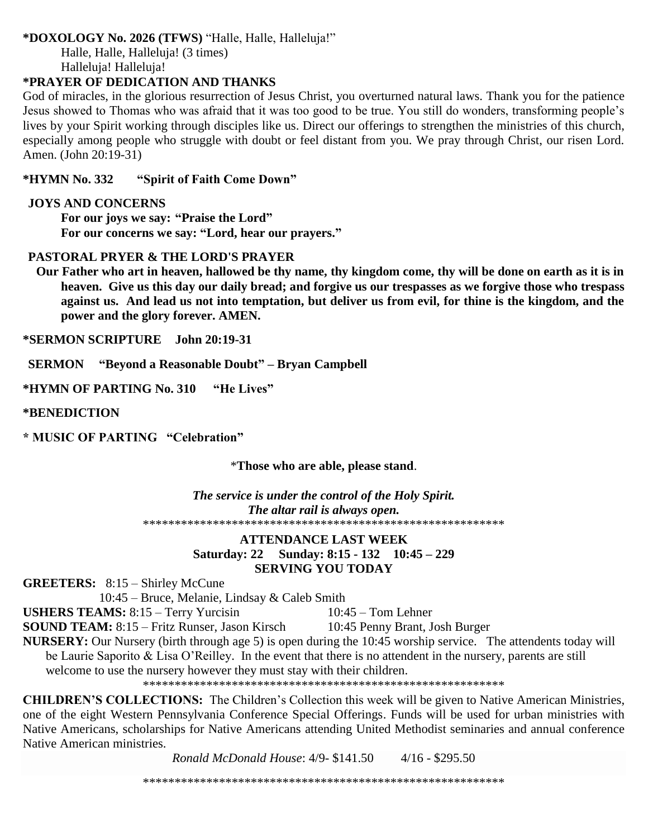# **\*DOXOLOGY No. 2026 (TFWS)** "Halle, Halle, Halleluja!"

Halle, Halle, Halleluja! (3 times) Halleluja! Halleluja!

# **\*PRAYER OF DEDICATION AND THANKS**

God of miracles, in the glorious resurrection of Jesus Christ, you overturned natural laws. Thank you for the patience Jesus showed to Thomas who was afraid that it was too good to be true. You still do wonders, transforming people's lives by your Spirit working through disciples like us. Direct our offerings to strengthen the ministries of this church, especially among people who struggle with doubt or feel distant from you. We pray through Christ, our risen Lord. Amen. (John 20:19-31)

### **\*HYMN No. 332 "Spirit of Faith Come Down"**

### **JOYS AND CONCERNS**

**For our joys we say: "Praise the Lord" For our concerns we say: "Lord, hear our prayers."**

## **PASTORAL PRYER & THE LORD'S PRAYER**

 **Our Father who art in heaven, hallowed be thy name, thy kingdom come, thy will be done on earth as it is in heaven. Give us this day our daily bread; and forgive us our trespasses as we forgive those who trespass against us. And lead us not into temptation, but deliver us from evil, for thine is the kingdom, and the power and the glory forever. AMEN.**

**\*SERMON SCRIPTURE John 20:19-31**

 **SERMON "Beyond a Reasonable Doubt" – Bryan Campbell**

**\*HYMN OF PARTING No. 310 "He Lives"**

**\*BENEDICTION**

**\* MUSIC OF PARTING "Celebration"**

\***Those who are able, please stand**.

*The service is under the control of the Holy Spirit. The altar rail is always open.* \*\*\*\*\*\*\*\*\*\*\*\*\*\*\*\*\*\*\*\*\*\*\*\*\*\*\*\*\*\*\*\*\*\*\*\*\*\*\*\*\*\*\*\*\*\*\*\*\*\*\*\*\*\*\*\*\*

# **ATTENDANCE LAST WEEK Saturday: 22 Sunday: 8:15 - 132 10:45 – 229 SERVING YOU TODAY**

**GREETERS:** 8:15 – Shirley McCune

10:45 – Bruce, Melanie, Lindsay & Caleb Smith

**USHERS TEAMS:** 8:15 – Terry Yurcisin 10:45 – Tom Lehner

**SOUND TEAM:** 8:15 – Fritz Runser, Jason Kirsch 10:45 Penny Brant, Josh Burger

**NURSERY:** Our Nursery (birth through age 5) is open during the 10:45 worship service. The attendents today will be Laurie Saporito & Lisa O'Reilley. In the event that there is no attendent in the nursery, parents are still welcome to use the nursery however they must stay with their children.

\*\*\*\*\*\*\*\*\*\*\*\*\*\*\*\*\*\*\*\*\*\*\*\*\*\*\*\*\*\*\*\*\*\*\*\*\*\*\*\*\*\*\*\*\*\*\*\*\*\*\*\*\*\*\*\*\*

**CHILDREN'S COLLECTIONS:** The Children's Collection this week will be given to Native American Ministries, one of the eight Western Pennsylvania Conference Special Offerings. Funds will be used for urban ministries with Native Americans, scholarships for Native Americans attending United Methodist seminaries and annual conference Native American ministries.

*Ronald McDonald House*: 4/9- \$141.50 4/16 - \$295.50

\*\*\*\*\*\*\*\*\*\*\*\*\*\*\*\*\*\*\*\*\*\*\*\*\*\*\*\*\*\*\*\*\*\*\*\*\*\*\*\*\*\*\*\*\*\*\*\*\*\*\*\*\*\*\*\*\*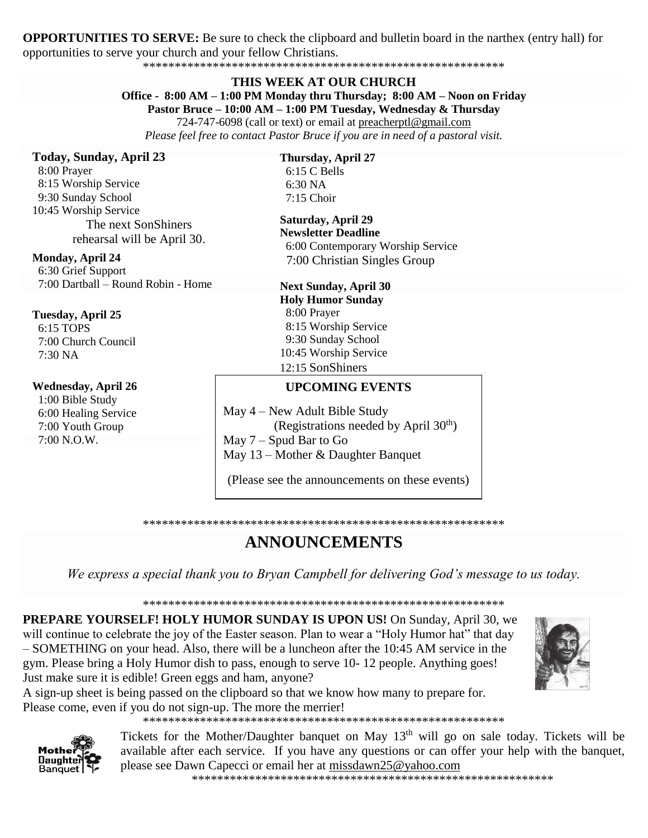**OPPORTUNITIES TO SERVE:** Be sure to check the clipboard and bulletin board in the narthex (entry hall) for opportunities to serve your church and your fellow Christians.

\*\*\*\*\*\*\*\*\*\*\*\*\*\*\*\*\*\*\*\*\*\*\*\*\*\*\*\*\*\*\*\*\*\*\*\*\*\*\*\*\*\*\*\*\*\*\*\*\*\*\*\*\*\*\*\*\*

### **THIS WEEK AT OUR CHURCH**

# **Office - 8:00 AM – 1:00 PM Monday thru Thursday; 8:00 AM – Noon on Friday**

**Pastor Bruce – 10:00 AM – 1:00 PM Tuesday, Wednesday & Thursday** 724-747-6098 (call or text) or email at [preacherptl@gmail.com](mailto:preacherptl@gmail.com)

*Please feel free to contact Pastor Bruce if you are in need of a pastoral visit.*

### **Today, Sunday, April 23**

 8:00 Prayer 8:15 Worship Service 9:30 Sunday School 10:45 Worship Service The next SonShiners rehearsal will be April 30.

### **Monday, April 24**

 6:30 Grief Support 7:00 Dartball – Round Robin - Home

#### **Tuesday, April 25**

 6:15 TOPS 7:00 Church Council 7:30 NA

#### **Wednesday, April 26**

 1:00 Bible Study 6:00 Healing Service 7:00 Youth Group  $7:00 \text{ N}$  O.W.

#### **Thursday, April 27** 6:15 C Bells 6:30 NA 7:15 Choir

**Saturday, April 29 Newsletter Deadline**  6:00 Contemporary Worship Service 7:00 Christian Singles Group

### **Next Sunday, April 30 Holy Humor Sunday** 8:00 Prayer 8:15 Worship Service 9:30 Sunday School 10:45 Worship Service 12:15 SonShiners

# **UPCOMING EVENTS**

May 4 – New Adult Bible Study (Registrations needed by April  $30<sup>th</sup>$ ) May 7 – Spud Bar to Go May 13 – Mother & Daughter Banquet

(Please see the announcements on these events)

#### \*\*\*\*\*\*\*\*\*\*\*\*\*\*\*\*\*\*\*\*\*\*\*\*\*\*\*\*\*\*\*\*\*\*\*\*\*\*\*\*\*\*\*\*\*\*\*\*\*\*\*\*\*\*\*\*\*

# **ANNOUNCEMENTS**

*We express a special thank you to Bryan Campbell for delivering God's message to us today.*

\*\*\*\*\*\*\*\*\*\*\*\*\*\*\*\*\*\*\*\*\*\*\*\*\*\*\*\*\*\*\*\*\*\*\*\*\*\*\*\*\*\*\*\*\*\*\*\*\*\*\*\*\*\*\*\*\*

**PREPARE YOURSELF! HOLY HUMOR SUNDAY IS UPON US!** On Sunday, April 30, we will continue to celebrate the joy of the Easter season. Plan to wear a "Holy Humor hat" that day – SOMETHING on your head. Also, there will be a luncheon after the 10:45 AM service in the gym. Please bring a Holy Humor dish to pass, enough to serve 10- 12 people. Anything goes! Just make sure it is edible! Green eggs and ham, anyone?

A sign-up sheet is being passed on the clipboard so that we know how many to prepare for. Please come, even if you do not sign-up. The more the merrier!

\*\*\*\*\*\*\*\*\*\*\*\*\*\*\*\*\*\*\*\*\*\*\*\*\*\*\*\*\*\*\*\*\*\*\*\*\*\*\*\*\*\*\*\*\*\*\*\*\*\*\*\*\*\*\*\*\*

Tickets for the Mother/Daughter banquet on May 13<sup>th</sup> will go on sale today. Tickets will be available after each service. If you have any questions or can offer your help with the banquet, please see Dawn Capecci or email her at [missdawn25@yahoo.com](javascript:window.top.ZmObjectManager.__doClickObject(document.getElementById(%22OBJ_PREFIX_DWT7770_com_zimbra_email%22));)

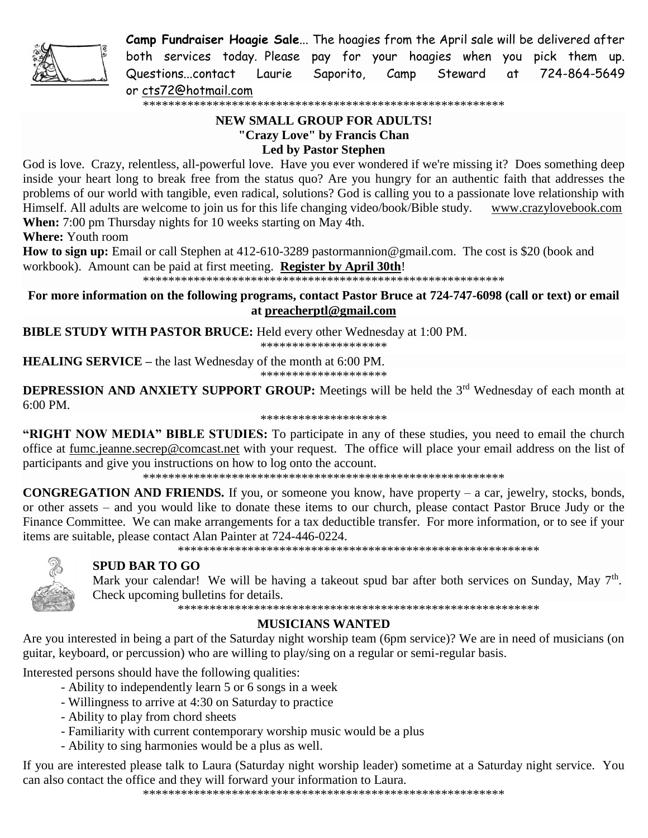

**Camp Fundraiser Hoagie Sale**... The hoagies from the April sale will be delivered after both services today. Please pay for your hoagies when you pick them up. Questions...contact Laurie Saporito, Camp Steward at 724-864-5649 or [cts72@hotmail.com](javascript:window.top.ZmObjectManager.__doClickObject(document.getElementById(%22OBJ_PREFIX_DWT8595_com_zimbra_email%22));)

\*\*\*\*\*\*\*\*\*\*\*\*\*\*\*\*\*\*\*\*\*\*\*\*\*\*\*\*\*\*\*\*\*\*\*\*\*\*\*\*\*\*\*\*\*\*\*\*\*\*\*\*\*\*\*\*\*

# **NEW SMALL GROUP FOR ADULTS! "Crazy Love" by Francis Chan Led by Pastor Stephen**

God is love. Crazy, relentless, all-powerful love. Have you ever wondered if we're missing it? Does something deep inside your heart long to break free from the status quo? Are you hungry for an authentic faith that addresses the problems of our world with tangible, even radical, solutions? God is calling you to a passionate love relationship with Himself. All adults are welcome to join us for this life changing video/book/Bible study. [www.crazylovebook.com](http://www.crazylovebook.com/) **When:** 7:00 pm Thursday nights for 10 weeks starting on May 4th.

**Where:** Youth room

**How to sign up:** Email or call Stephen at 412-610-3289 [pastormannion@gmail.com.](javascript:window.top.ZmObjectManager.__doClickObject(document.getElementById(%22OBJ_PREFIX_DWT3470_com_zimbra_email%22));) The cost is \$20 (book and workbook). Amount can be paid at first meeting. **Register by April 30th**!

\*\*\*\*\*\*\*\*\*\*\*\*\*\*\*\*\*\*\*\*\*\*\*\*\*\*\*\*\*\*\*\*\*\*\*\*\*\*\*\*\*\*\*\*\*\*\*\*\*\*\*\*\*\*\*\*\*

**For more information on the following programs, contact Pastor Bruce at 724-747-6098 (call or text) or email at [preacherptl@gmail.com](mailto:preacherptl@gmail.com)**

**BIBLE STUDY WITH PASTOR BRUCE:** Held every other Wednesday at 1:00 PM. \*\*\*\*\*\*\*\*\*\*\*\*\*\*\*\*\*\*\*\*

**HEALING SERVICE –** the last Wednesday of the month at 6:00 PM.

\*\*\*\*\*\*\*\*\*\*\*\*\*\*\*\*\*\*\*\*

**DEPRESSION AND ANXIETY SUPPORT GROUP:** Meetings will be held the 3<sup>rd</sup> Wednesday of each month at 6:00 PM.

\*\*\*\*\*\*\*\*\*\*\*\*\*\*\*\*\*\*\*\*

**"RIGHT NOW MEDIA" BIBLE STUDIES:** To participate in any of these studies, you need to email the church office at [fumc.jeanne.secrep@comcast.net](mailto:fumc.jeanne.secrep@comcast.net) with your request. The office will place your email address on the list of participants and give you instructions on how to log onto the account.

\*\*\*\*\*\*\*\*\*\*\*\*\*\*\*\*\*\*\*\*\*\*\*\*\*\*\*\*\*\*\*\*\*\*\*\*\*\*\*\*\*\*\*\*\*\*\*\*\*\*\*\*\*\*\*\*\*

**CONGREGATION AND FRIENDS.** If you, or someone you know, have property – a car, jewelry, stocks, bonds, or other assets – and you would like to donate these items to our church, please contact Pastor Bruce Judy or the Finance Committee. We can make arrangements for a tax deductible transfer. For more information, or to see if your items are suitable, please contact Alan Painter at 724-446-0224.

\*\*\*\*\*\*\*\*\*\*\*\*\*\*\*\*\*\*\*\*\*\*\*\*\*\*\*\*\*\*\*\*\*\*\*\*\*\*\*\*\*\*\*\*\*\*\*\*\*\*\*\*\*\*\*\*\*



# **SPUD BAR TO GO**

Mark your calendar! We will be having a takeout spud bar after both services on Sunday, May 7<sup>th</sup>. Check upcoming bulletins for details.

\*\*\*\*\*\*\*\*\*\*\*\*\*\*\*\*\*\*\*\*\*\*\*\*\*\*\*\*\*\*\*\*\*\*\*\*\*\*\*\*\*\*\*\*\*\*\*\*\*\*\*\*\*\*\*\*\*

# **MUSICIANS WANTED**

Are you interested in being a part of the Saturday night worship team (6pm service)? We are in need of musicians (on guitar, keyboard, or percussion) who are willing to play/sing on a regular or semi-regular basis.

Interested persons should have the following qualities:

- Ability to independently learn 5 or 6 songs in a week
- Willingness to arrive at 4:30 on Saturday to practice
- Ability to play from chord sheets
- Familiarity with current contemporary worship music would be a plus
- Ability to sing harmonies would be a plus as well.

If you are interested please talk to Laura (Saturday night worship leader) sometime at a Saturday night service. You can also contact the office and they will forward your information to Laura.